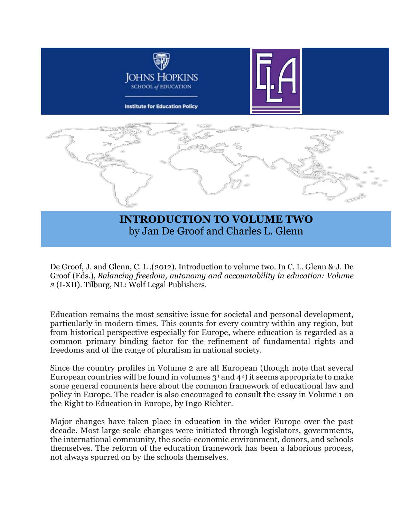

## **INTRODUCTION TO VOLUME TWO** by Jan De Groof and Charles L. Glenn

De Groof, J. and Glenn, C. L .(2012). Introduction to volume two. In C. L. Glenn & J. De Groof (Eds.), *Balancing freedom, autonomy and accountability in education: Volume 2* (I-XII). Tilburg, NL: Wolf Legal Publishers.

Education remains the most sensitive issue for societal and personal development, particularly in modern times. This counts for every country within any region, but from historical perspective especially for Europe, where education is regarded as a common primary binding factor for the refinement of fundamental rights and freedoms and of the range of pluralism in national society.

Since the country profiles in Volume 2 are all European (though note that several European countries will be found in volumes  $3<sup>1</sup>$  $3<sup>1</sup>$  $3<sup>1</sup>$  and  $4<sup>2</sup>$ ) it seems appropriate to make some general comments here about the common framework of educational law and policy in Europe. The reader is also encouraged to consult the essay in Volume 1 on the Right to Education in Europe, by Ingo Richter.

Major changes have taken place in education in the wider Europe over the past decade. Most large-scale changes were initiated through legislators, governments, the international community, the socio-economic environment, donors, and schools themselves. The reform of the education framework has been a laborious process, not always spurred on by the schools themselves.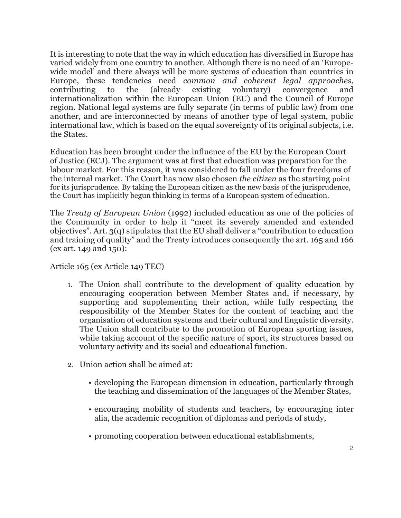It is interesting to note that the way in which education has diversified in Europe has varied widely from one country to another. Although there is no need of an 'Europewide model' and there always will be more systems of education than countries in Europe, these tendencies need *common and coherent legal approaches*, contributing to the (already existing voluntary) convergence and internationalization within the European Union (EU) and the Council of Europe region. National legal systems are fully separate (in terms of public law) from one another, and are interconnected by means of another type of legal system, public international law, which is based on the equal sovereignty of its original subjects, i.e. the States.

Education has been brought under the influence of the EU by the European Court of Justice (ECJ). The argument was at first that education was preparation for the labour market. For this reason, it was considered to fall under the four freedoms of the internal market. The Court has now also chosen *the citizen* as the starting point for its jurisprudence. By taking the European citizen as the new basis of the jurisprudence, the Court has implicitly begun thinking in terms of a European system of education.

The *Treaty of European Union* (1992) included education as one of the policies of the Community in order to help it "meet its severely amended and extended objectives". Art. 3(q) stipulates that the EU shall deliver a "contribution to education and training of quality" and the Treaty introduces consequently the art. 165 and 166 (ex art. 149 and 150):

Article 165 (ex Article 149 TEC)

- 1. The Union shall contribute to the development of quality education by encouraging cooperation between Member States and, if necessary, by supporting and supplementing their action, while fully respecting the responsibility of the Member States for the content of teaching and the organisation of education systems and their cultural and linguistic diversity. The Union shall contribute to the promotion of European sporting issues, while taking account of the specific nature of sport, its structures based on voluntary activity and its social and educational function.
- 2. Union action shall be aimed at:
	- developing the European dimension in education, particularly through the teaching and dissemination of the languages of the Member States,
	- encouraging mobility of students and teachers, by encouraging inter alia, the academic recognition of diplomas and periods of study,
	- promoting cooperation between educational establishments,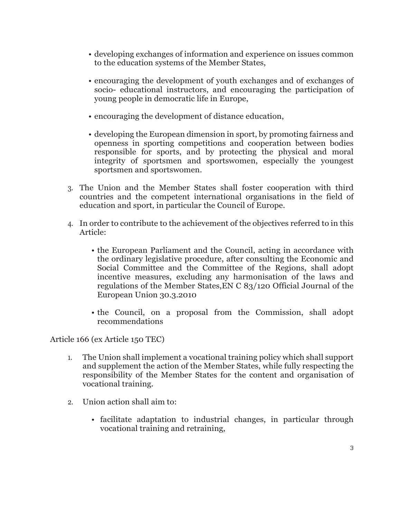- developing exchanges of information and experience on issues common to the education systems of the Member States,
- encouraging the development of youth exchanges and of exchanges of socio- educational instructors, and encouraging the participation of young people in democratic life in Europe,
- encouraging the development of distance education,
- developing the European dimension in sport, by promoting fairness and openness in sporting competitions and cooperation between bodies responsible for sports, and by protecting the physical and moral integrity of sportsmen and sportswomen, especially the youngest sportsmen and sportswomen.
- 3. The Union and the Member States shall foster cooperation with third countries and the competent international organisations in the field of education and sport, in particular the Council of Europe.
- 4. In order to contribute to the achievement of the objectives referred to in this Article:
	- the European Parliament and the Council, acting in accordance with the ordinary legislative procedure, after consulting the Economic and Social Committee and the Committee of the Regions, shall adopt incentive measures, excluding any harmonisation of the laws and regulations of the Member States,EN C 83/120 Official Journal of the European Union 30.3.2010
	- the Council, on a proposal from the Commission, shall adopt recommendations

Article 166 (ex Article 150 TEC)

- 1. The Union shall implement a vocational training policy which shall support and supplement the action of the Member States, while fully respecting the responsibility of the Member States for the content and organisation of vocational training.
- 2. Union action shall aim to:
	- facilitate adaptation to industrial changes, in particular through vocational training and retraining,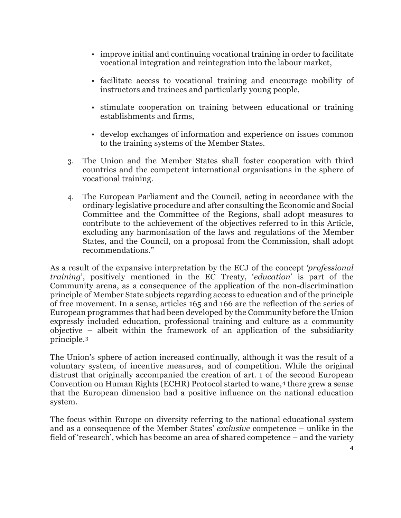- improve initial and continuing vocational training in order to facilitate vocational integration and reintegration into the labour market,
- facilitate access to vocational training and encourage mobility of instructors and trainees and particularly young people,
- stimulate cooperation on training between educational or training establishments and firms,
- develop exchanges of information and experience on issues common to the training systems of the Member States.
- 3. The Union and the Member States shall foster cooperation with third countries and the competent international organisations in the sphere of vocational training.
- 4. The European Parliament and the Council, acting in accordance with the ordinary legislative procedure and after consulting the Economic and Social Committee and the Committee of the Regions, shall adopt measures to contribute to the achievement of the objectives referred to in this Article, excluding any harmonisation of the laws and regulations of the Member States, and the Council, on a proposal from the Commission, shall adopt recommendations."

As a result of the expansive interpretation by the ECJ of the concept *'professional training*', positively mentioned in the EC Treaty, '*education*' is part of the Community arena, as a consequence of the application of the non-discrimination principle of Member State subjects regarding access to education and of the principle of free movement. In a sense, articles 165 and 166 are the reflection of the series of European programmes that had been developed by the Community before the Union expressly included education, professional training and culture as a community objective – albeit within the framework of an application of the subsidiarity principle.[3](#page-12-2)

The Union's sphere of action increased continually, although it was the result of a voluntary system, of incentive measures, and of competition. While the original distrust that originally accompanied the creation of art. 1 of the second European Convention on Human Rights (ECHR) Protocol started to wane,<sup>[4](#page-12-3)</sup> there grew a sense that the European dimension had a positive influence on the national education system.

The focus within Europe on diversity referring to the national educational system and as a consequence of the Member States' *exclusive* competence – unlike in the field of 'research', which has become an area of shared competence – and the variety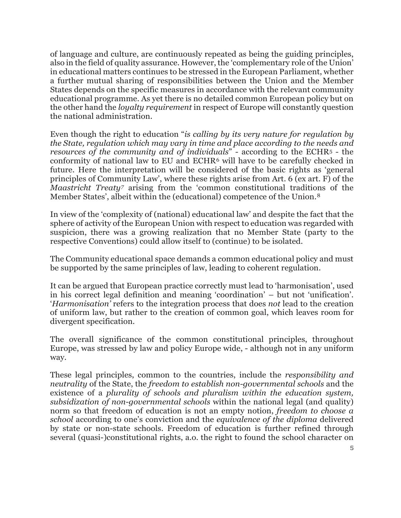of language and culture, are continuously repeated as being the guiding principles, also in the field of quality assurance. However, the 'complementary role of the Union' in educational matters continues to be stressed in the European Parliament, whether a further mutual sharing of responsibilities between the Union and the Member States depends on the specific measures in accordance with the relevant community educational programme. As yet there is no detailed common European policy but on the other hand the *loyalty requirement* in respect of Europe will constantly question the national administration.

Even though the right to education "*is calling by its very nature for regulation by the State, regulation which may vary in time and place according to the needs and resources of the community and of individuals*" - according to the ECHR[5](#page-12-4) - the conformity of national law to EU and ECHR[6](#page-12-5) will have to be carefully checked in future. Here the interpretation will be considered of the basic rights as 'general principles of Community Law', where these rights arise from Art. 6 (ex art. F) of the *Maastricht Treaty[7](#page-12-6)* arising from the 'common constitutional traditions of the Member States', albeit within the (educational) competence of the Union.[8](#page-12-7)

In view of the 'complexity of (national) educational law' and despite the fact that the sphere of activity of the European Union with respect to education was regarded with suspicion, there was a growing realization that no Member State (party to the respective Conventions) could allow itself to (continue) to be isolated.

The Community educational space demands a common educational policy and must be supported by the same principles of law, leading to coherent regulation.

It can be argued that European practice correctly must lead to 'harmonisation', used in his correct legal definition and meaning 'coordination' – but not 'unification'. '*Harmonisation'* refers to the integration process that does *not* lead to the creation of uniform law, but rather to the creation of common goal, which leaves room for divergent specification.

The overall significance of the common constitutional principles, throughout Europe, was stressed by law and policy Europe wide, - although not in any uniform way.

These legal principles, common to the countries, include the *responsibility and neutrality* of the State, the *freedom to establish non-governmental schools* and the existence of a *plurality of schools and pluralism within the education system, subsidization of non-governmental schools* within the national legal (and quality) norm so that freedom of education is not an empty notion, *freedom to choose a school* according to one's conviction and the *equivalence of the diploma* delivered by state or non-state schools. Freedom of education is further refined through several (quasi-)constitutional rights, a.o. the right to found the school character on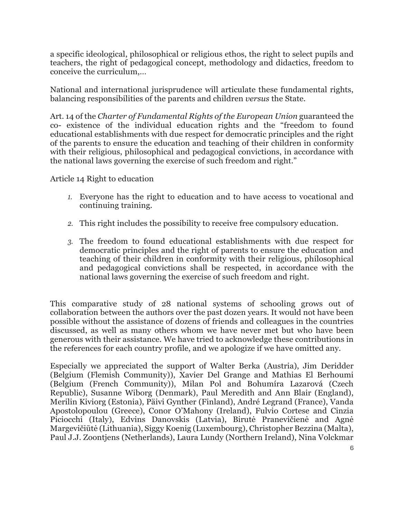a specific ideological, philosophical or religious ethos, the right to select pupils and teachers, the right of pedagogical concept, methodology and didactics, freedom to conceive the curriculum,…

National and international jurisprudence will articulate these fundamental rights, balancing responsibilities of the parents and children *versus* the State.

Art. 14 of the *Charter of Fundamental Rights of the European Union* guaranteed the co- existence of the individual education rights and the "freedom to found educational establishments with due respect for democratic principles and the right of the parents to ensure the education and teaching of their children in conformity with their religious, philosophical and pedagogical convictions, in accordance with the national laws governing the exercise of such freedom and right."

Article 14 Right to education

- *1.* Everyone has the right to education and to have access to vocational and continuing training.
- *2.* This right includes the possibility to receive free compulsory education.
- *3.* The freedom to found educational establishments with due respect for democratic principles and the right of parents to ensure the education and teaching of their children in conformity with their religious, philosophical and pedagogical convictions shall be respected, in accordance with the national laws governing the exercise of such freedom and right.

This comparative study of 28 national systems of schooling grows out of collaboration between the authors over the past dozen years. It would not have been possible without the assistance of dozens of friends and colleagues in the countries discussed, as well as many others whom we have never met but who have been generous with their assistance. We have tried to acknowledge these contributions in the references for each country profile, and we apologize if we have omitted any.

Especially we appreciated the support of Walter Berka (Austria), Jim Deridder (Belgium (Flemish Community)), Xavier Del Grange and Mathias El Berhoumi (Belgium (French Community)), Milan Pol and Bohumíra Lazarová (Czech Republic), Susanne Wiborg (Denmark), Paul Meredith and Ann Blair (England), Merilin Kiviorg (Estonia), Päivi Gynther (Finland), André Legrand (France), Vanda Apostolopoulou (Greece), Conor O'Mahony (Ireland), Fulvio Cortese and Cinzia Piciocchi (Italy), Edvins Danovskis (Latvia), Birutė Pranevičienė and Agnė Margevičiūtė (Lithuania), Siggy Koenig (Luxembourg), Christopher Bezzina (Malta), Paul J.J. Zoontjens (Netherlands), Laura Lundy (Northern Ireland), Nina Volckmar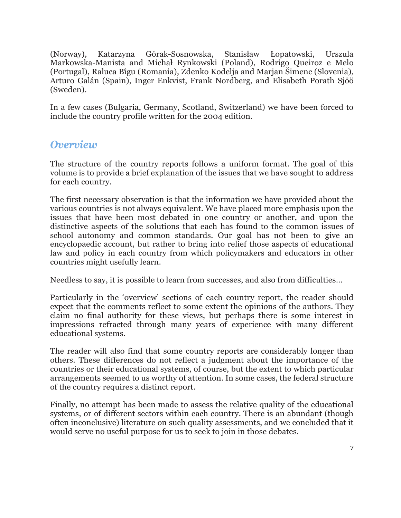(Norway), Katarzyna Górak-Sosnowska, Stanisław Łopatowski, Urszula Markowska-Manista and Michał Rynkowski (Poland), Rodrigo Queiroz e Melo (Portugal), Raluca Bîgu (Romania), Zdenko Kodelja and Marjan Šimenc (Slovenia), Arturo Galán (Spain), Inger Enkvist, Frank Nordberg, and Elisabeth Porath Sjöö (Sweden).

In a few cases (Bulgaria, Germany, Scotland, Switzerland) we have been forced to include the country profile written for the 2004 edition.

#### *Overview*

The structure of the country reports follows a uniform format. The goal of this volume is to provide a brief explanation of the issues that we have sought to address for each country.

The first necessary observation is that the information we have provided about the various countries is not always equivalent. We have placed more emphasis upon the issues that have been most debated in one country or another, and upon the distinctive aspects of the solutions that each has found to the common issues of school autonomy and common standards. Our goal has not been to give an encyclopaedic account, but rather to bring into relief those aspects of educational law and policy in each country from which policymakers and educators in other countries might usefully learn.

Needless to say, it is possible to learn from successes, and also from difficulties…

Particularly in the 'overview' sections of each country report, the reader should expect that the comments reflect to some extent the opinions of the authors. They claim no final authority for these views, but perhaps there is some interest in impressions refracted through many years of experience with many different educational systems.

The reader will also find that some country reports are considerably longer than others. These differences do not reflect a judgment about the importance of the countries or their educational systems, of course, but the extent to which particular arrangements seemed to us worthy of attention. In some cases, the federal structure of the country requires a distinct report.

Finally, no attempt has been made to assess the relative quality of the educational systems, or of different sectors within each country. There is an abundant (though often inconclusive) literature on such quality assessments, and we concluded that it would serve no useful purpose for us to seek to join in those debates.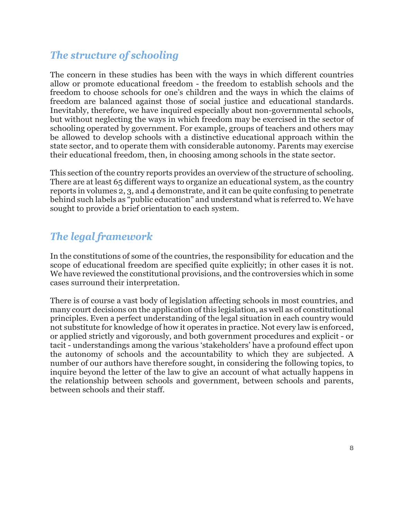## *The structure of schooling*

The concern in these studies has been with the ways in which different countries allow or promote educational freedom - the freedom to establish schools and the freedom to choose schools for one's children and the ways in which the claims of freedom are balanced against those of social justice and educational standards. Inevitably, therefore, we have inquired especially about non-governmental schools, but without neglecting the ways in which freedom may be exercised in the sector of schooling operated by government. For example, groups of teachers and others may be allowed to develop schools with a distinctive educational approach within the state sector, and to operate them with considerable autonomy. Parents may exercise their educational freedom, then, in choosing among schools in the state sector.

This section of the country reports provides an overview of the structure of schooling. There are at least 65 different ways to organize an educational system, as the country reports in volumes 2, 3, and 4 demonstrate, and it can be quite confusing to penetrate behind such labels as "public education" and understand what is referred to. We have sought to provide a brief orientation to each system.

## *The legal framework*

In the constitutions of some of the countries, the responsibility for education and the scope of educational freedom are specified quite explicitly; in other cases it is not. We have reviewed the constitutional provisions, and the controversies which in some cases surround their interpretation.

There is of course a vast body of legislation affecting schools in most countries, and many court decisions on the application of this legislation, as well as of constitutional principles. Even a perfect understanding of the legal situation in each country would not substitute for knowledge of how it operates in practice. Not every law is enforced, or applied strictly and vigorously, and both government procedures and explicit - or tacit - understandings among the various 'stakeholders' have a profound effect upon the autonomy of schools and the accountability to which they are subjected. A number of our authors have therefore sought, in considering the following topics, to inquire beyond the letter of the law to give an account of what actually happens in the relationship between schools and government, between schools and parents, between schools and their staff.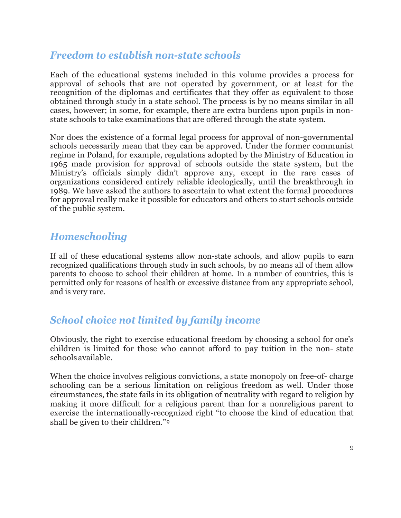## *Freedom to establish non-state schools*

Each of the educational systems included in this volume provides a process for approval of schools that are not operated by government, or at least for the recognition of the diplomas and certificates that they offer as equivalent to those obtained through study in a state school. The process is by no means similar in all cases, however; in some, for example, there are extra burdens upon pupils in nonstate schools to take examinations that are offered through the state system.

Nor does the existence of a formal legal process for approval of non-governmental schools necessarily mean that they can be approved. Under the former communist regime in Poland, for example, regulations adopted by the Ministry of Education in 1965 made provision for approval of schools outside the state system, but the Ministry's officials simply didn't approve any, except in the rare cases of organizations considered entirely reliable ideologically, until the breakthrough in 1989. We have asked the authors to ascertain to what extent the formal procedures for approval really make it possible for educators and others to start schools outside of the public system.

## *Homeschooling*

If all of these educational systems allow non-state schools, and allow pupils to earn recognized qualifications through study in such schools, by no means all of them allow parents to choose to school their children at home. In a number of countries, this is permitted only for reasons of health or excessive distance from any appropriate school, and is very rare.

# *School choice not limited by family income*

Obviously, the right to exercise educational freedom by choosing a school for one's children is limited for those who cannot afford to pay tuition in the non- state schoolsavailable.

When the choice involves religious convictions, a state monopoly on free-of- charge schooling can be a serious limitation on religious freedom as well. Under those circumstances, the state fails in its obligation of neutrality with regard to religion by making it more difficult for a religious parent than for a nonreligious parent to exercise the internationally-recognized right "to choose the kind of education that shall be given to their children."[9](#page-12-8)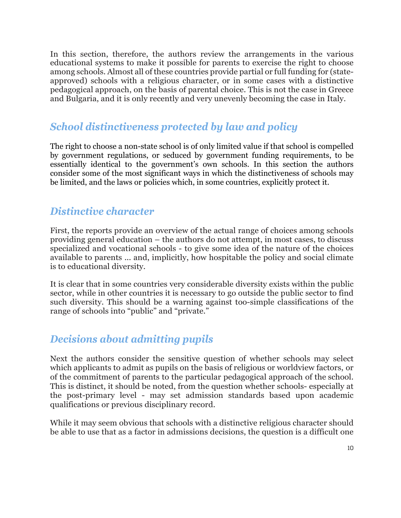In this section, therefore, the authors review the arrangements in the various educational systems to make it possible for parents to exercise the right to choose among schools. Almost all of these countries provide partial or full funding for (stateapproved) schools with a religious character, or in some cases with a distinctive pedagogical approach, on the basis of parental choice. This is not the case in Greece and Bulgaria, and it is only recently and very unevenly becoming the case in Italy.

#### *School distinctiveness protected by law and policy*

The right to choose a non-state school is of only limited value if that school is compelled by government regulations, or seduced by government funding requirements, to be essentially identical to the government's own schools. In this section the authors consider some of the most significant ways in which the distinctiveness of schools may be limited, and the laws or policies which, in some countries, explicitly protect it.

### *Distinctive character*

First, the reports provide an overview of the actual range of choices among schools providing general education – the authors do not attempt, in most cases, to discuss specialized and vocational schools - to give some idea of the nature of the choices available to parents ... and, implicitly, how hospitable the policy and social climate is to educational diversity.

It is clear that in some countries very considerable diversity exists within the public sector, while in other countries it is necessary to go outside the public sector to find such diversity. This should be a warning against too-simple classifications of the range of schools into "public" and "private."

## *Decisions about admitting pupils*

Next the authors consider the sensitive question of whether schools may select which applicants to admit as pupils on the basis of religious or worldview factors, or of the commitment of parents to the particular pedagogical approach of the school. This is distinct, it should be noted, from the question whether schools- especially at the post-primary level - may set admission standards based upon academic qualifications or previous disciplinary record.

While it may seem obvious that schools with a distinctive religious character should be able to use that as a factor in admissions decisions, the question is a difficult one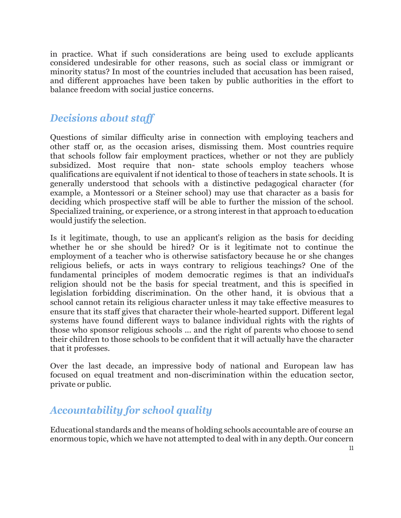in practice. What if such considerations are being used to exclude applicants considered undesirable for other reasons, such as social class or immigrant or minority status? In most of the countries included that accusation has been raised, and different approaches have been taken by public authorities in the effort to balance freedom with social justice concerns.

## *Decisions about staff*

Questions of similar difficulty arise in connection with employing teachers and other staff or, as the occasion arises, dismissing them. Most countries require that schools follow fair employment practices, whether or not they are publicly subsidized. Most require that non- state schools employ teachers whose qualifications are equivalent if not identical to those of teachers in state schools. It is generally understood that schools with a distinctive pedagogical character (for example, a Montessori or a Steiner school) may use that character as a basis for deciding which prospective staff will be able to further the mission of the school. Specialized training, or experience, or a strong interest in that approach to education would justify the selection.

Is it legitimate, though, to use an applicant's religion as the basis for deciding whether he or she should be hired? Or is it legitimate not to continue the employment of a teacher who is otherwise satisfactory because he or she changes religious beliefs, or acts in ways contrary to religious teachings? One of the fundamental principles of modem democratic regimes is that an individual's religion should not be the basis for special treatment, and this is specified in legislation forbidding discrimination. On the other hand, it is obvious that a school cannot retain its religious character unless it may take effective measures to ensure that its staff gives that character their whole-hearted support. Different legal systems have found different ways to balance individual rights with the rights of those who sponsor religious schools ... and the right of parents who choose to send their children to those schools to be confident that it will actually have the character that it professes.

Over the last decade, an impressive body of national and European law has focused on equal treatment and non-discrimination within the education sector, private or public.

# *Accountability for school quality*

Educational standards and the means of holding schools accountable are of course an enormous topic, which we have not attempted to deal with in any depth. Our concern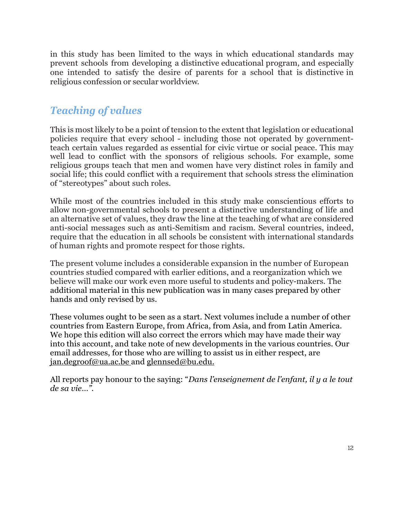in this study has been limited to the ways in which educational standards may prevent schools from developing a distinctive educational program, and especially one intended to satisfy the desire of parents for a school that is distinctive in religious confession or secular worldview.

## *Teaching of values*

This is most likely to be a point of tension to the extent that legislation or educational policies require that every school - including those not operated by governmentteach certain values regarded as essential for civic virtue or social peace. This may well lead to conflict with the sponsors of religious schools. For example, some religious groups teach that men and women have very distinct roles in family and social life; this could conflict with a requirement that schools stress the elimination of "stereotypes" about such roles.

While most of the countries included in this study make conscientious efforts to allow non-governmental schools to present a distinctive understanding of life and an alternative set of values, they draw the line at the teaching of what are considered anti-social messages such as anti-Semitism and racism. Several countries, indeed, require that the education in all schools be consistent with international standards of human rights and promote respect for those rights.

The present volume includes a considerable expansion in the number of European countries studied compared with earlier editions, and a reorganization which we believe will make our work even more useful to students and policy-makers. The additional material in this new publication was in many cases prepared by other hands and only revised by us.

These volumes ought to be seen as a start. Next volumes include a number of other countries from Eastern Europe, from Africa, from Asia, and from Latin America. We hope this edition will also correct the errors which may have made their way into this account, and take note of new developments in the various countries. Our email addresses, for those who are willing to assist us in either respect, are [jan.degroof@ua.ac.be a](mailto:jan.degroof@ua.ac.be)nd [glennsed@bu.edu.](mailto:glennsed@bu.edu)

All reports pay honour to the saying: "*Dans l'enseignement de l'enfant, il y a le tout de sa vie…".*